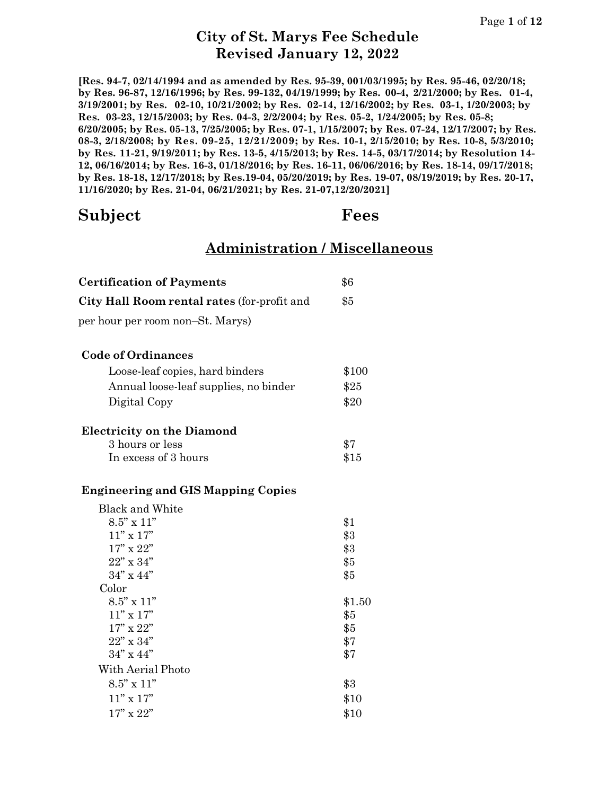**[Res. 94-7, 02/14/1994 and as amended by Res. 95-39, 001/03/1995; by Res. 95-46, 02/20/18; by Res. 96-87, 12/16/1996; by Res. 99-132, 04/19/1999; by Res. 00-4, 2/21/2000; by Res. 01-4, 3/19/2001; by Res. 02-10, 10/21/2002; by Res. 02-14, 12/16/2002; by Res. 03-1, 1/20/2003; by Res. 03-23, 12/15/2003; by Res. 04-3, 2/2/2004; by Res. 05-2, 1/24/2005; by Res. 05-8; 6/20/2005; by Res. 05-13, 7/25/2005; by Res. 07-1, 1/15/2007; by Res. 07-24, 12/17/2007; by Res. 08-3, 2/18/2008; by Res. 09-25, 12/21/2009; by Res. 10-1, 2/15/2010; by Res. 10-8, 5/3/2010; by Res. 11-21, 9/19/2011; by Res. 13-5, 4/15/2013; by Res. 14-5, 03/17/2014; by Resolution 14- 12, 06/16/2014; by Res. 16-3, 01/18/2016; by Res. 16-11, 06/06/2016; by Res. 18-14, 09/17/2018; by Res. 18-18, 12/17/2018; by Res.19-04, 05/20/2019; by Res. 19-07, 08/19/2019; by Res. 20-17, 11/16/2020; by Res. 21-04, 06/21/2021; by Res. 21-07,12/20/2021]**

### **Subject Fees**

### **Administration / Miscellaneous**

| <b>Certification of Payments</b>            | \$6    |
|---------------------------------------------|--------|
| City Hall Room rental rates (for-profit and | \$5    |
| per hour per room non–St. Marys)            |        |
| <b>Code of Ordinances</b>                   |        |
| Loose-leaf copies, hard binders             | \$100  |
| Annual loose-leaf supplies, no binder       | \$25   |
| Digital Copy                                | \$20   |
| <b>Electricity on the Diamond</b>           |        |
| 3 hours or less                             | \$7    |
| In excess of 3 hours                        | \$15   |
| <b>Engineering and GIS Mapping Copies</b>   |        |
| <b>Black and White</b>                      |        |
| $8.5$ " x $11$ "                            | \$1    |
| $11"$ x $17"$                               | \$3    |
| $17"$ x $22"$                               | \$3    |
| 22" x 34"                                   | \$5    |
| $34"$ x $44"$                               | \$5    |
| Color                                       |        |
| $8.5$ " x $11$ "                            | \$1.50 |
| $11"$ x $17"$                               | \$5    |
| $17"$ x $22"$                               | \$5    |
| $22"$ x $34"$                               | \$7    |
| $34"$ x $44"$                               | \$7    |
| With Aerial Photo                           |        |
| $8.5$ " x $11$ "                            | \$3    |
| $11'' \times 17''$                          | \$10   |
| $17"$ x $22"$                               | \$10   |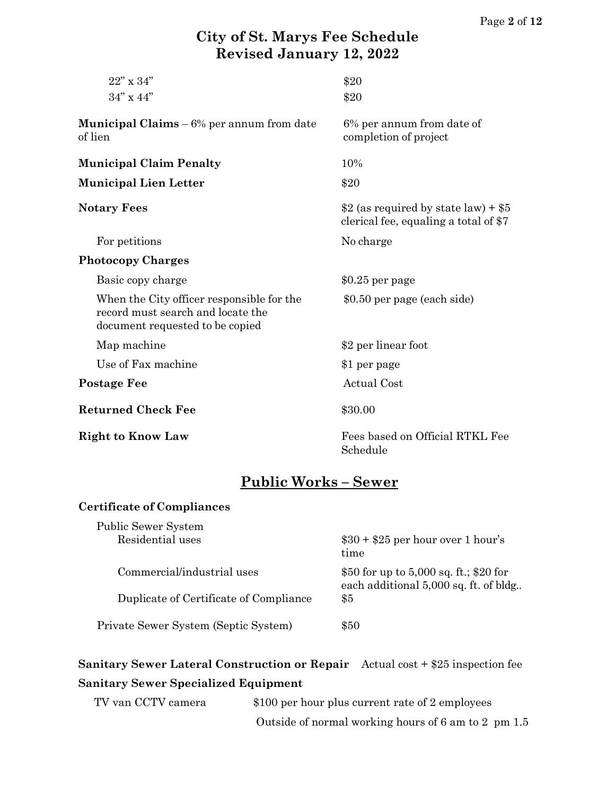| $22"$ x $34"$                                                                                                     | \$20                                                                           |
|-------------------------------------------------------------------------------------------------------------------|--------------------------------------------------------------------------------|
| $34" \times 44"$                                                                                                  | \$20                                                                           |
| <b>Municipal Claims</b> $-6\%$ per annum from date<br>of lien                                                     | 6% per annum from date of<br>completion of project                             |
| <b>Municipal Claim Penalty</b>                                                                                    | 10%                                                                            |
| <b>Municipal Lien Letter</b>                                                                                      | \$20                                                                           |
| <b>Notary Fees</b>                                                                                                | \$2 (as required by state law) + $$5$<br>clerical fee, equaling a total of \$7 |
| For petitions                                                                                                     | No charge                                                                      |
| <b>Photocopy Charges</b>                                                                                          |                                                                                |
| Basic copy charge                                                                                                 | $$0.25$ per page                                                               |
| When the City officer responsible for the<br>record must search and locate the<br>document requested to be copied | \$0.50 per page (each side)                                                    |
| Map machine                                                                                                       | \$2 per linear foot                                                            |
| Use of Fax machine                                                                                                | \$1 per page                                                                   |
| <b>Postage Fee</b>                                                                                                | <b>Actual Cost</b>                                                             |
| <b>Returned Check Fee</b>                                                                                         | \$30.00                                                                        |
| <b>Right to Know Law</b>                                                                                          | Fees based on Official RTKL Fee<br>Schedule                                    |

### **Public Works – Sewer**

#### **Certificate of Compliances**

| Public Sewer System                    |                                                                                 |
|----------------------------------------|---------------------------------------------------------------------------------|
| Residential uses                       | $$30 + $25$ per hour over 1 hour's<br>time                                      |
| Commercial/industrial uses             | \$50 for up to 5,000 sq. ft.; \$20 for<br>each additional 5,000 sq. ft. of bldg |
| Duplicate of Certificate of Compliance | $\$5$                                                                           |
| Private Sewer System (Septic System)   | \$50                                                                            |

### **Sanitary Sewer Lateral Construction or Repair** Actual cost + \$25 inspection fee **Sanitary Sewer Specialized Equipment**

| TV van CCTV camera | \$100 per hour plus current rate of 2 employees     |
|--------------------|-----------------------------------------------------|
|                    | Outside of normal working hours of 6 am to 2 pm 1.5 |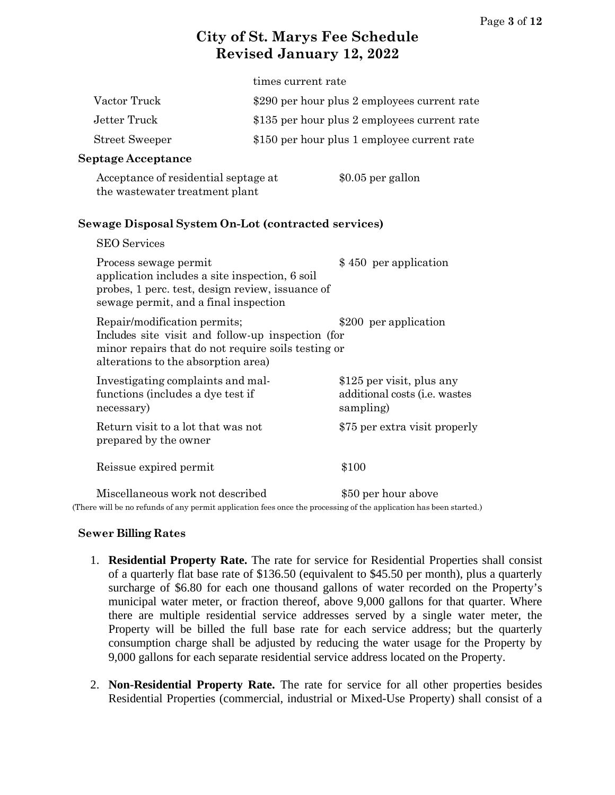|                       | times current rate                           |
|-----------------------|----------------------------------------------|
| Vactor Truck          | \$290 per hour plus 2 employees current rate |
| Jetter Truck          | \$135 per hour plus 2 employees current rate |
| <b>Street Sweeper</b> | \$150 per hour plus 1 employee current rate  |

#### **Septage Acceptance**

 $CDO$   $S$ <sub>r</sub>  $\cdots$ 

| Acceptance of residential septage at | \$0.05 per gallon |
|--------------------------------------|-------------------|
| the wastewater treatment plant       |                   |

#### **Sewage Disposal System On-Lot (contracted services)**

| <b>DLU DETVICES</b>                                                                                                                                                            |                                                                                 |
|--------------------------------------------------------------------------------------------------------------------------------------------------------------------------------|---------------------------------------------------------------------------------|
| Process sewage permit<br>application includes a site inspection, 6 soil<br>probes, 1 perc. test, design review, issuance of<br>sewage permit, and a final inspection           | \$450 per application                                                           |
| Repair/modification permits;<br>Includes site visit and follow-up inspection (for<br>minor repairs that do not require soils testing or<br>alterations to the absorption area) | \$200 per application                                                           |
| Investigating complaints and mal-<br>functions (includes a dye test if<br>necessary)                                                                                           | \$125 per visit, plus any<br>additional costs ( <i>i.e.</i> wastes<br>sampling) |
| Return visit to a lot that was not<br>prepared by the owner                                                                                                                    | \$75 per extra visit properly                                                   |
| Reissue expired permit                                                                                                                                                         | \$100                                                                           |
| Miscellaneous work not described                                                                                                                                               | \$50 per hour above                                                             |

(There will be no refunds of any permit application fees once the processing of the application has been started.)

#### **Sewer Billing Rates**

- 1. **Residential Property Rate.** The rate for service for Residential Properties shall consist of a quarterly flat base rate of \$136.50 (equivalent to \$45.50 per month), plus a quarterly surcharge of \$6.80 for each one thousand gallons of water recorded on the Property's municipal water meter, or fraction thereof, above 9,000 gallons for that quarter. Where there are multiple residential service addresses served by a single water meter, the Property will be billed the full base rate for each service address; but the quarterly consumption charge shall be adjusted by reducing the water usage for the Property by 9,000 gallons for each separate residential service address located on the Property.
- 2. **Non-Residential Property Rate.** The rate for service for all other properties besides Residential Properties (commercial, industrial or Mixed-Use Property) shall consist of a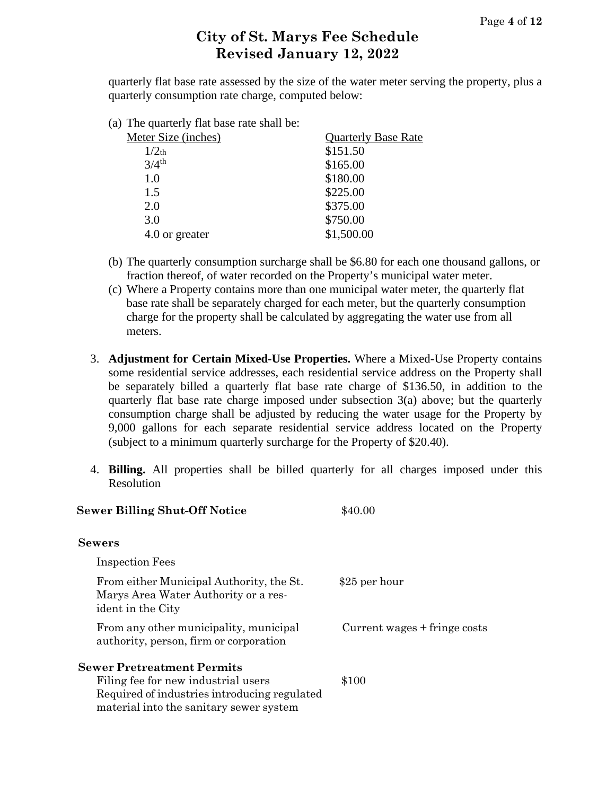quarterly flat base rate assessed by the size of the water meter serving the property, plus a quarterly consumption rate charge, computed below:

(a) The quarterly flat base rate shall be:

| Meter Size (inches) | <b>Quarterly Base Rate</b> |
|---------------------|----------------------------|
| $1/2$ th            | \$151.50                   |
| $3/4$ <sup>th</sup> | \$165.00                   |
| 1.0                 | \$180.00                   |
| 1.5                 | \$225.00                   |
| 2.0                 | \$375.00                   |
| 3.0                 | \$750.00                   |
| 4.0 or greater      | \$1,500.00                 |
|                     |                            |

- (b) The quarterly consumption surcharge shall be \$6.80 for each one thousand gallons, or fraction thereof, of water recorded on the Property's municipal water meter.
- (c) Where a Property contains more than one municipal water meter, the quarterly flat base rate shall be separately charged for each meter, but the quarterly consumption charge for the property shall be calculated by aggregating the water use from all meters.
- 3. **Adjustment for Certain Mixed-Use Properties.** Where a Mixed-Use Property contains some residential service addresses, each residential service address on the Property shall be separately billed a quarterly flat base rate charge of \$136.50, in addition to the quarterly flat base rate charge imposed under subsection 3(a) above; but the quarterly consumption charge shall be adjusted by reducing the water usage for the Property by 9,000 gallons for each separate residential service address located on the Property (subject to a minimum quarterly surcharge for the Property of \$20.40).
- 4. **Billing.** All properties shall be billed quarterly for all charges imposed under this Resolution

| <b>Sewer Billing Shut-Off Notice</b>                                                                                           | \$40.00                      |
|--------------------------------------------------------------------------------------------------------------------------------|------------------------------|
| <b>Sewers</b>                                                                                                                  |                              |
| <b>Inspection Fees</b>                                                                                                         |                              |
| From either Municipal Authority, the St.<br>Marys Area Water Authority or a res-<br>ident in the City                          | \$25 per hour                |
| From any other municipality, municipal<br>authority, person, firm or corporation                                               | Current wages + fringe costs |
| <b>Sewer Pretreatment Permits</b>                                                                                              |                              |
| Filing fee for new industrial users<br>Required of industries introducing regulated<br>material into the sanitary sewer system | \$100                        |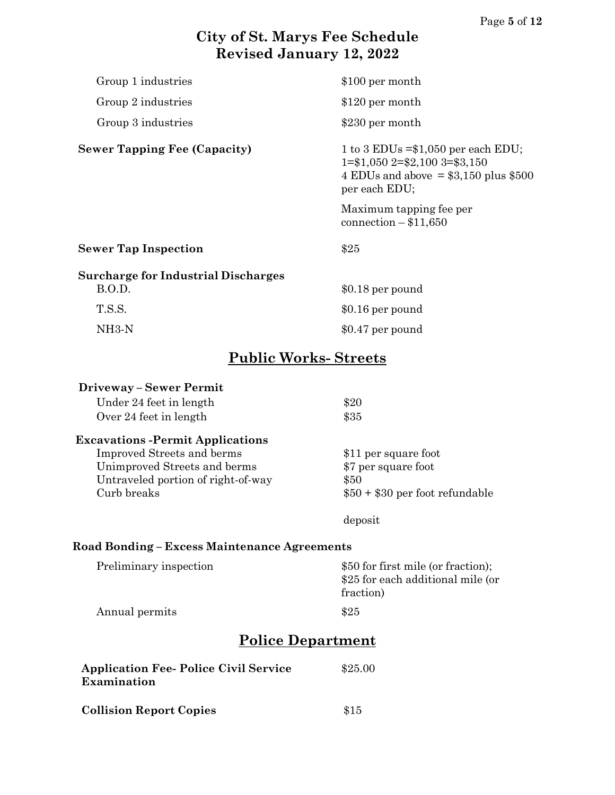| Group 1 industries                         | \$100 per month                                                                                                                                   |  |
|--------------------------------------------|---------------------------------------------------------------------------------------------------------------------------------------------------|--|
| Group 2 industries                         | \$120 per month                                                                                                                                   |  |
| Group 3 industries                         | \$230 per month                                                                                                                                   |  |
|                                            |                                                                                                                                                   |  |
| <b>Sewer Tapping Fee (Capacity)</b>        | 1 to 3 EDUs $=\frac{1050}{9}$ per each EDU;<br>$1 = $1,050$ $2 = $2,100$ $3 = $3,150$<br>4 EDUs and above = $$3,150$ plus $$500$<br>per each EDU; |  |
|                                            | Maximum tapping fee per<br>connection $- $11,650$                                                                                                 |  |
| <b>Sewer Tap Inspection</b>                | \$25                                                                                                                                              |  |
| <b>Surcharge for Industrial Discharges</b> |                                                                                                                                                   |  |
| B.O.D.                                     | $$0.18$ per pound                                                                                                                                 |  |
| T.S.S.                                     | \$0.16 per pound                                                                                                                                  |  |
| $NH3-N$                                    | \$0.47 per pound                                                                                                                                  |  |
| <b>Public Works-Streets</b>                |                                                                                                                                                   |  |
| <b>Driveway - Sewer Permit</b>             |                                                                                                                                                   |  |
| Under 24 feet in length                    | \$20                                                                                                                                              |  |
| Over 24 feet in length                     | \$35                                                                                                                                              |  |
| <b>Excavations - Permit Applications</b>   |                                                                                                                                                   |  |
| Improved Streets and berms                 | \$11 per square foot                                                                                                                              |  |
| Unimproved Streets and berms               | \$7 per square foot                                                                                                                               |  |
| Untraveled portion of right-of-way         | \$50                                                                                                                                              |  |
| Curb breaks                                | $$50 + $30$ per foot refundable                                                                                                                   |  |
|                                            | deposit                                                                                                                                           |  |

#### **Road Bonding – Excess Maintenance Agreements**

| Preliminary inspection | \$50 for first mile (or fraction);<br>\$25 for each additional mile (or<br>fraction) |
|------------------------|--------------------------------------------------------------------------------------|
| Annual permits         | \$25                                                                                 |

# **Police Department**

| <b>Application Fee- Police Civil Service</b><br>Examination | \$25.00 |
|-------------------------------------------------------------|---------|
| <b>Collision Report Copies</b>                              | \$15    |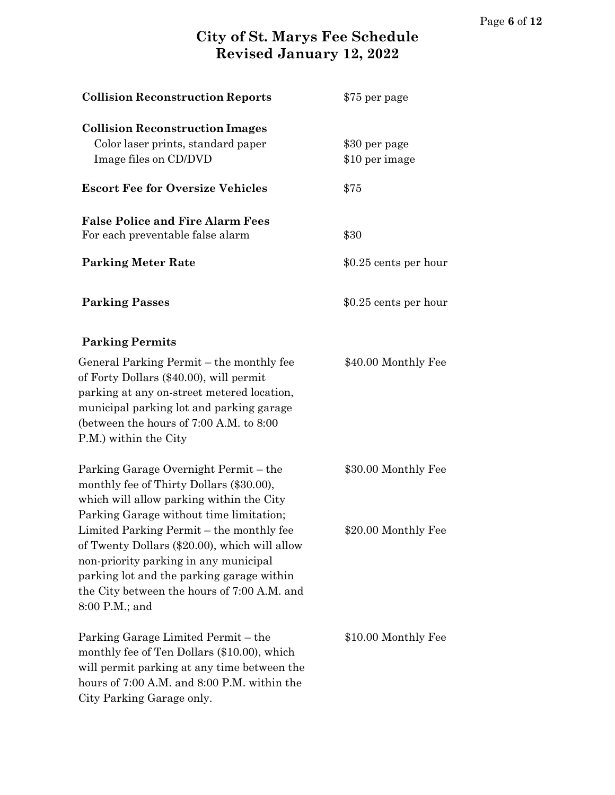| <b>Collision Reconstruction Reports</b>                                                                                                                                                                                                            | \$75 per page                   |
|----------------------------------------------------------------------------------------------------------------------------------------------------------------------------------------------------------------------------------------------------|---------------------------------|
| <b>Collision Reconstruction Images</b><br>Color laser prints, standard paper<br>Image files on CD/DVD                                                                                                                                              | \$30 per page<br>\$10 per image |
| <b>Escort Fee for Oversize Vehicles</b>                                                                                                                                                                                                            | \$75                            |
| <b>False Police and Fire Alarm Fees</b><br>For each preventable false alarm<br><b>Parking Meter Rate</b>                                                                                                                                           | \$30<br>\$0.25 cents per hour   |
| <b>Parking Passes</b>                                                                                                                                                                                                                              | \$0.25 cents per hour           |
| <b>Parking Permits</b>                                                                                                                                                                                                                             |                                 |
| General Parking Permit – the monthly fee<br>of Forty Dollars (\$40.00), will permit<br>parking at any on-street metered location,<br>municipal parking lot and parking garage<br>(between the hours of 7:00 A.M. to 8:00)<br>P.M.) within the City | \$40.00 Monthly Fee             |
| Parking Garage Overnight Permit – the<br>monthly fee of Thirty Dollars (\$30.00),<br>which will allow parking within the City<br>Parking Garage without time limitation;                                                                           | \$30.00 Monthly Fee             |
| Limited Parking Permit – the monthly fee<br>of Twenty Dollars (\$20.00), which will allow<br>non-priority parking in any municipal<br>parking lot and the parking garage within<br>the City between the hours of 7:00 A.M. and<br>8:00 P.M.; and   | \$20.00 Monthly Fee             |
| Parking Garage Limited Permit – the<br>monthly fee of Ten Dollars (\$10.00), which<br>will permit parking at any time between the<br>hours of 7:00 A.M. and 8:00 P.M. within the<br>City Parking Garage only.                                      | \$10.00 Monthly Fee             |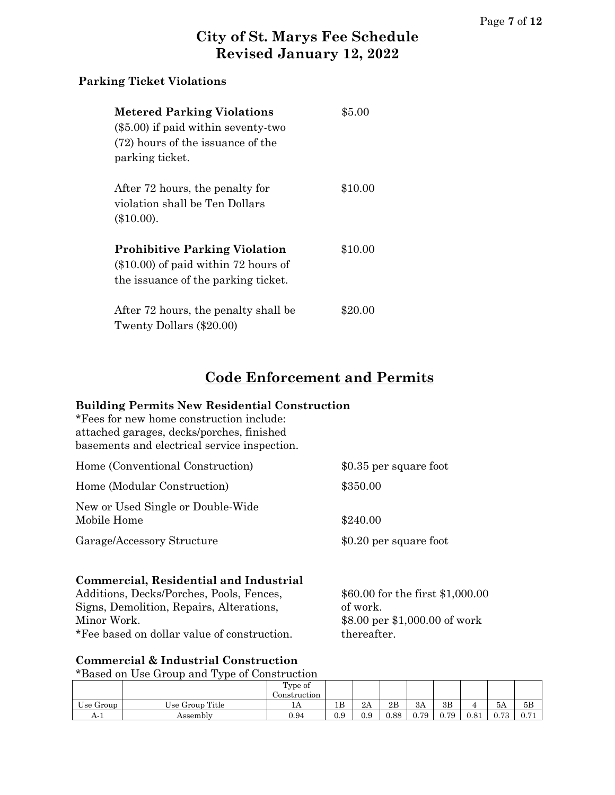#### **Parking Ticket Violations**

| <b>Metered Parking Violations</b><br>$(\$5.00)$ if paid within seventy-two<br>(72) hours of the issuance of the<br>parking ticket. | \$5.00  |
|------------------------------------------------------------------------------------------------------------------------------------|---------|
| After 72 hours, the penalty for<br>violation shall be Ten Dollars<br>$(\$10.00).$                                                  | \$10.00 |
| <b>Prohibitive Parking Violation</b><br>$(\$10.00)$ of paid within 72 hours of<br>the issuance of the parking ticket.              | \$10.00 |
| After 72 hours, the penalty shall be<br>Twenty Dollars (\$20.00)                                                                   | \$20.00 |

# **Code Enforcement and Permits**

#### **Building Permits New Residential Construction**

\*Fees for new home construction include: attached garages, decks/porches, finished basements and electrical service inspection.

| Home (Conventional Construction)                 | \$0.35 per square foot |
|--------------------------------------------------|------------------------|
| Home (Modular Construction)                      | \$350.00               |
| New or Used Single or Double-Wide<br>Mobile Home | \$240.00               |
| Garage/Accessory Structure                       | \$0.20 per square foot |

#### **Commercial, Residential and Industrial**

Additions, Decks/Porches, Pools, Fences,  $$60.00$  for the first \$1,000.00 Signs, Demolition, Repairs, Alterations, of work. Minor Work.  $$8.00\text{ per } $1,000.00\text{ of work}$ \*Fee based on dollar value of construction. thereafter.

#### **Commercial & Industrial Construction**

\*Based on Use Group and Type of Construction

|                           |                 | Type of      |          |     |      |      |      |      |               |      |
|---------------------------|-----------------|--------------|----------|-----|------|------|------|------|---------------|------|
|                           |                 | Construction |          |     |      |      |      |      |               |      |
| $\sim$<br>--<br>Use Group | Use Group Title | 11 P         | 1B       | 2A  | 2B   | 3A   | 3B   |      | -5A           | 5B   |
| A- 1                      | Assemblv        | 0.94         | $_{0.9}$ | 0.9 | 0.88 | 0.79 | 0.79 | 0.81 | 0.79<br>V. 10 | 0.71 |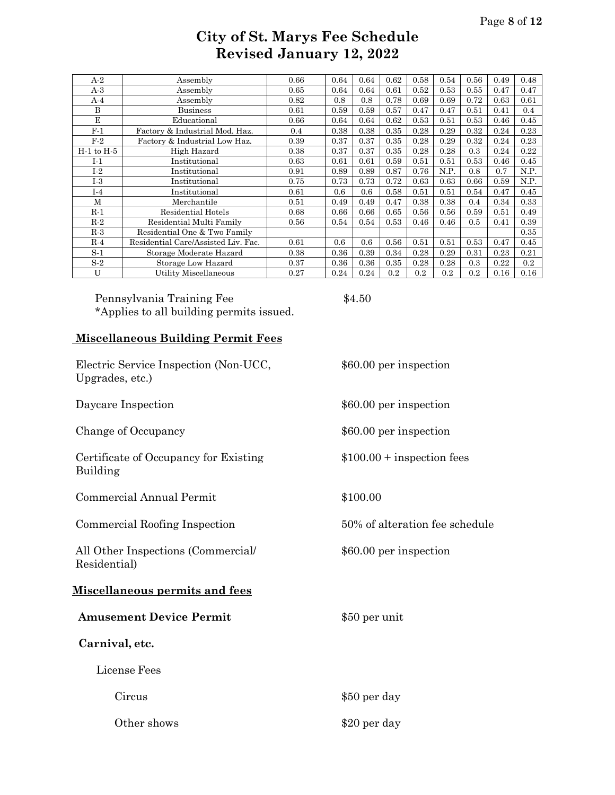| A-2            | Assembly                            | 0.66 | 0.64 | 0.64 | 0.62 | 0.58 | 0.54 | 0.56 | 0.49 | 0.48 |
|----------------|-------------------------------------|------|------|------|------|------|------|------|------|------|
| $A-3$          | Assembly                            | 0.65 | 0.64 | 0.64 | 0.61 | 0.52 | 0.53 | 0.55 | 0.47 | 0.47 |
| A-4            | Assembly                            | 0.82 | 0.8  | 0.8  | 0.78 | 0.69 | 0.69 | 0.72 | 0.63 | 0.61 |
| B              | <b>Business</b>                     | 0.61 | 0.59 | 0.59 | 0.57 | 0.47 | 0.47 | 0.51 | 0.41 | 0.4  |
| E              | Educational                         | 0.66 | 0.64 | 0.64 | 0.62 | 0.53 | 0.51 | 0.53 | 0.46 | 0.45 |
| $F-1$          | Factory & Industrial Mod. Haz.      | 0.4  | 0.38 | 0.38 | 0.35 | 0.28 | 0.29 | 0.32 | 0.24 | 0.23 |
| $F-2$          | Factory & Industrial Low Haz.       | 0.39 | 0.37 | 0.37 | 0.35 | 0.28 | 0.29 | 0.32 | 0.24 | 0.23 |
| $H-1$ to $H-5$ | High Hazard                         | 0.38 | 0.37 | 0.37 | 0.35 | 0.28 | 0.28 | 0.3  | 0.24 | 0.22 |
| I-1            | Institutional                       | 0.63 | 0.61 | 0.61 | 0.59 | 0.51 | 0.51 | 0.53 | 0.46 | 0.45 |
| $I-2$          | Institutional                       | 0.91 | 0.89 | 0.89 | 0.87 | 0.76 | N.P. | 0.8  | 0.7  | N.P. |
| $I-3$          | Institutional                       | 0.75 | 0.73 | 0.73 | 0.72 | 0.63 | 0.63 | 0.66 | 0.59 | N.P. |
| $I-4$          | Institutional                       | 0.61 | 0.6  | 0.6  | 0.58 | 0.51 | 0.51 | 0.54 | 0.47 | 0.45 |
| M              | Merchantile                         | 0.51 | 0.49 | 0.49 | 0.47 | 0.38 | 0.38 | 0.4  | 0.34 | 0.33 |
| $R-1$          | Residential Hotels                  | 0.68 | 0.66 | 0.66 | 0.65 | 0.56 | 0.56 | 0.59 | 0.51 | 0.49 |
| $R-2$          | Residential Multi Family            | 0.56 | 0.54 | 0.54 | 0.53 | 0.46 | 0.46 | 0.5  | 0.41 | 0.39 |
| $R-3$          | Residential One & Two Family        |      |      |      |      |      |      |      |      | 0.35 |
| $R-4$          | Residential Care/Assisted Liv. Fac. | 0.61 | 0.6  | 0.6  | 0.56 | 0.51 | 0.51 | 0.53 | 0.47 | 0.45 |
| $S-1$          | Storage Moderate Hazard             | 0.38 | 0.36 | 0.39 | 0.34 | 0.28 | 0.29 | 0.31 | 0.23 | 0.21 |
| $S-2$          | Storage Low Hazard                  | 0.37 | 0.36 | 0.36 | 0.35 | 0.28 | 0.28 | 0.3  | 0.22 | 0.2  |
| U              | Utility Miscellaneous               | 0.27 | 0.24 | 0.24 | 0.2  | 0.2  | 0.2  | 0.2  | 0.16 | 0.16 |

Pennsylvania Training Fee  $$4.50$ \*Applies to all building permits issued.

#### **Miscellaneous Building Permit Fees**

| Electric Service Inspection (Non-UCC,<br>Upgrades, etc.) | \$60.00 per inspection         |
|----------------------------------------------------------|--------------------------------|
| Daycare Inspection                                       | \$60.00 per inspection         |
| Change of Occupancy                                      | \$60.00 per inspection         |
| Certificate of Occupancy for Existing<br>Building        | $$100.00 +$ inspection fees    |
| Commercial Annual Permit                                 | \$100.00                       |
| Commercial Roofing Inspection                            | 50% of alteration fee schedule |
| All Other Inspections (Commercial/<br>Residential)       | \$60.00 per inspection         |
| <u>Miscellaneous permits and fees</u>                    |                                |
| <b>Amusement Device Permit</b>                           | \$50 per unit                  |
| Carnival, etc.                                           |                                |
| License Fees                                             |                                |
| Circus                                                   | \$50 per day                   |
| Other shows                                              | \$20 per day                   |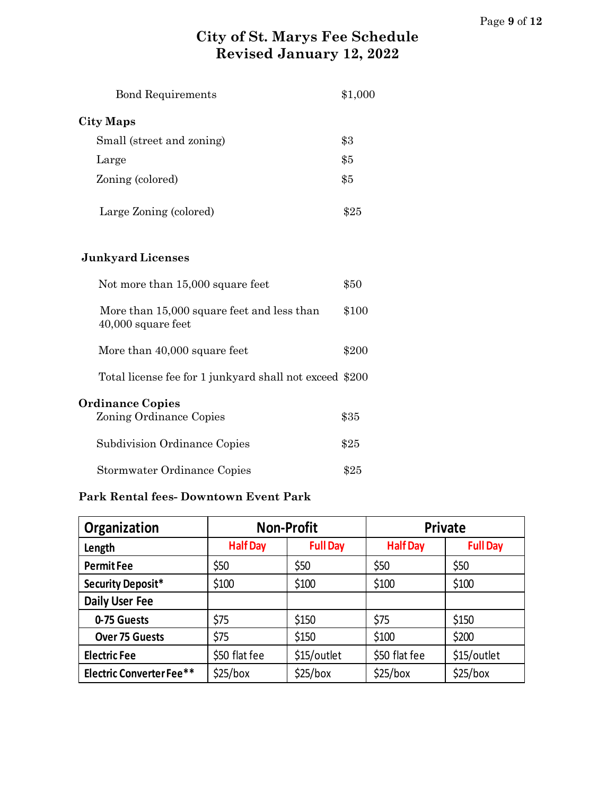| <b>Bond Requirements</b>                                         | \$1,000 |
|------------------------------------------------------------------|---------|
| <b>City Maps</b>                                                 |         |
| Small (street and zoning)                                        | \$3     |
| Large                                                            | \$5     |
| Zoning (colored)                                                 | \$5     |
| Large Zoning (colored)                                           | \$25    |
| <b>Junkyard Licenses</b>                                         |         |
| Not more than 15,000 square feet                                 | \$50    |
| More than 15,000 square feet and less than<br>40,000 square feet | \$100   |
| More than 40,000 square feet                                     | \$200   |
| Total license fee for 1 junkyard shall not exceed \$200          |         |
| <b>Ordinance Copies</b><br>Zoning Ordinance Copies               | \$35    |
| Subdivision Ordinance Copies                                     | \$25    |
| Stormwater Ordinance Copies                                      | \$25    |

#### **Park Rental fees- Downtown Event Park**

| Organization                    | <b>Non-Profit</b>                  |             |                 | Private         |
|---------------------------------|------------------------------------|-------------|-----------------|-----------------|
| Length                          | <b>Full Day</b><br><b>Half Day</b> |             | <b>Half Day</b> | <b>Full Day</b> |
| <b>PermitFee</b>                | \$50                               | \$50        | \$50            | \$50            |
| <b>Security Deposit*</b>        | \$100                              | \$100       | \$100           | \$100           |
| <b>Daily User Fee</b>           |                                    |             |                 |                 |
| 0-75 Guests                     | \$75                               | \$150       | \$75            | \$150           |
| <b>Over 75 Guests</b>           | \$75                               | \$150       | \$100           | \$200           |
| <b>Electric Fee</b>             | \$50 flat fee                      | \$15/outlet | \$50 flat fee   | \$15/outlet     |
| <b>Electric Converter Fee**</b> | \$25/box                           | \$25/box    | \$25/box        | \$25/box        |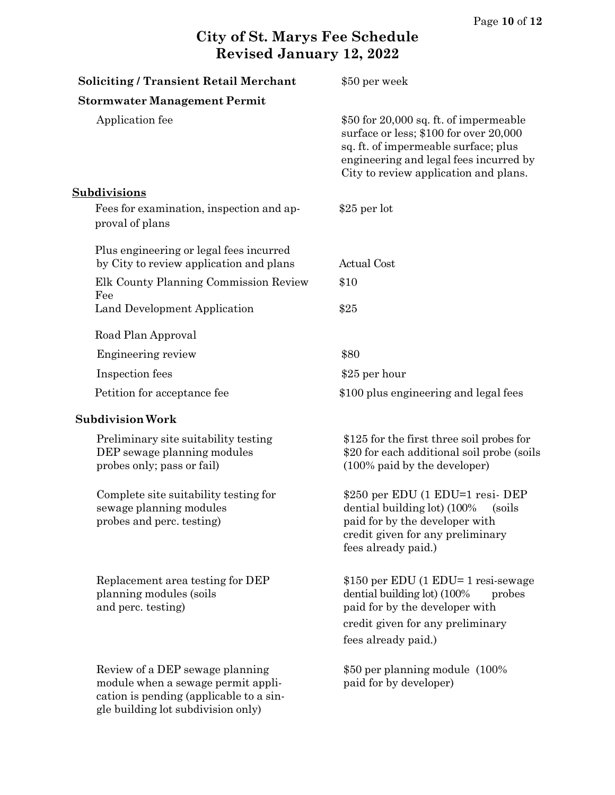| <b>Soliciting / Transient Retail Merchant</b>                                                                                                          | \$50 per week                                                                                                                                                                                               |
|--------------------------------------------------------------------------------------------------------------------------------------------------------|-------------------------------------------------------------------------------------------------------------------------------------------------------------------------------------------------------------|
| <b>Stormwater Management Permit</b>                                                                                                                    |                                                                                                                                                                                                             |
| Application fee                                                                                                                                        | \$50 for 20,000 sq. ft. of impermeable<br>surface or less; \$100 for over 20,000<br>sq. ft. of impermeable surface; plus<br>engineering and legal fees incurred by<br>City to review application and plans. |
| Subdivisions                                                                                                                                           |                                                                                                                                                                                                             |
| Fees for examination, inspection and ap-<br>proval of plans                                                                                            | $$25$ per lot                                                                                                                                                                                               |
| Plus engineering or legal fees incurred<br>by City to review application and plans                                                                     | <b>Actual Cost</b>                                                                                                                                                                                          |
| Elk County Planning Commission Review<br>Fee                                                                                                           | \$10                                                                                                                                                                                                        |
| Land Development Application                                                                                                                           | \$25                                                                                                                                                                                                        |
| Road Plan Approval                                                                                                                                     |                                                                                                                                                                                                             |
| Engineering review                                                                                                                                     | \$80                                                                                                                                                                                                        |
| Inspection fees                                                                                                                                        | \$25 per hour                                                                                                                                                                                               |
| Petition for acceptance fee                                                                                                                            | \$100 plus engineering and legal fees                                                                                                                                                                       |
| <b>Subdivision Work</b>                                                                                                                                |                                                                                                                                                                                                             |
| Preliminary site suitability testing<br>DEP sewage planning modules<br>probes only; pass or fail)                                                      | \$125 for the first three soil probes for<br>\$20 for each additional soil probe (soils)<br>(100% paid by the developer)                                                                                    |
| Complete site suitability testing for<br>sewage planning modules<br>probes and perc. testing)                                                          | \$250 per EDU (1 EDU=1 resi-DEP<br>dential building lot) (100%<br>(soils)<br>paid for by the developer with<br>credit given for any preliminary<br>fees already paid.)                                      |
| Replacement area testing for DEP<br>planning modules (soils)<br>and perc. testing)                                                                     | \$150 per EDU (1 EDU= 1 resi-sewage<br>dential building lot) (100%<br>probes<br>paid for by the developer with<br>credit given for any preliminary<br>fees already paid.)                                   |
| Review of a DEP sewage planning<br>module when a sewage permit appli-<br>cation is pending (applicable to a sin-<br>gle building lot subdivision only) | \$50 per planning module (100%)<br>paid for by developer)                                                                                                                                                   |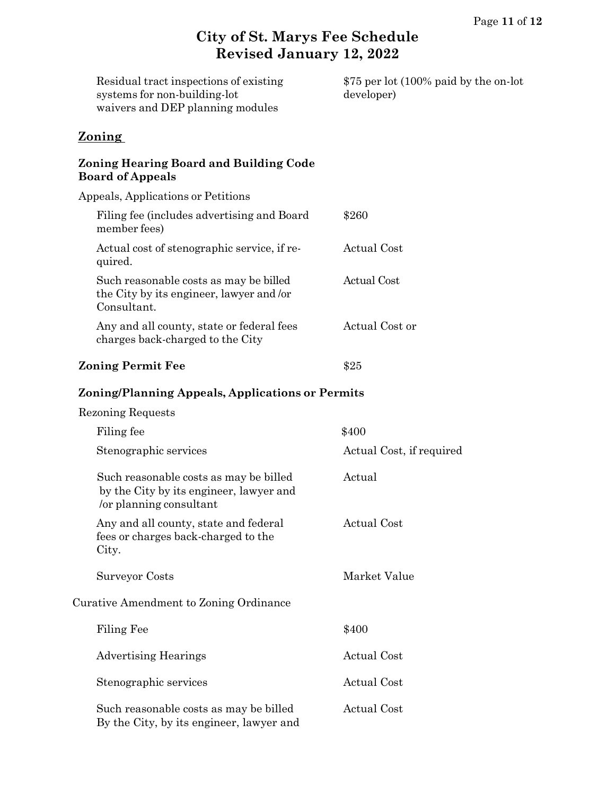| Residual tract inspections of existing<br>systems for non-building-lot<br>waivers and DEP planning modules   | \$75 per lot (100% paid by the on-lot<br>developer) |
|--------------------------------------------------------------------------------------------------------------|-----------------------------------------------------|
| <b>Zoning</b>                                                                                                |                                                     |
| <b>Zoning Hearing Board and Building Code</b><br><b>Board of Appeals</b>                                     |                                                     |
| Appeals, Applications or Petitions                                                                           |                                                     |
| Filing fee (includes advertising and Board<br>member fees)                                                   | \$260                                               |
| Actual cost of stenographic service, if re-<br>quired.                                                       | <b>Actual Cost</b>                                  |
| Such reasonable costs as may be billed<br>the City by its engineer, lawyer and /or<br>Consultant.            | <b>Actual Cost</b>                                  |
| Any and all county, state or federal fees<br>charges back-charged to the City                                | Actual Cost or                                      |
| <b>Zoning Permit Fee</b>                                                                                     | \$25                                                |
| Zoning/Planning Appeals, Applications or Permits                                                             |                                                     |
| <b>Rezoning Requests</b>                                                                                     |                                                     |
| Filing fee                                                                                                   | \$400                                               |
| Stenographic services                                                                                        | Actual Cost, if required                            |
| Such reasonable costs as may be billed<br>by the City by its engineer, lawyer and<br>/or planning consultant | Actual                                              |
| Any and all county, state and federal<br>fees or charges back-charged to the<br>City.                        | <b>Actual Cost</b>                                  |
| <b>Surveyor Costs</b>                                                                                        | Market Value                                        |
| Curative Amendment to Zoning Ordinance                                                                       |                                                     |
| Filing Fee                                                                                                   | \$400                                               |
| <b>Advertising Hearings</b>                                                                                  | <b>Actual Cost</b>                                  |

Stenographic services Actual Cost

Such reasonable costs as may be billed Actual Cost By the City, by its engineer, lawyer and